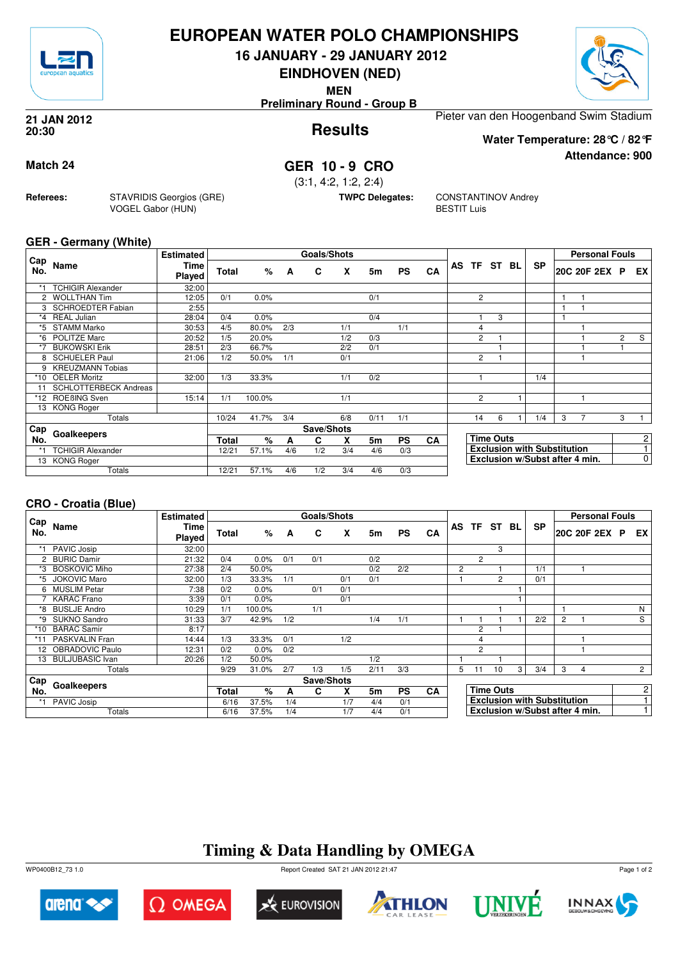

## **EUROPEAN WATER POLO CHAMPIONSHIPS**

**16 JANUARY - 29 JANUARY 2012**

**EINDHOVEN (NED)**

**MEN**

**Preliminary Round - Group B**



**Attendance: 900**

**Results 21 JAN 2012 20:30**

Pieter van den Hoogenband Swim Stadium **Water Temperature: 28°C / 82°F**

### **Match 24 GER 10 - 9 CRO**

(3:1, 4:2, 1:2, 2:4)

**TWPC Delegates:** CONSTANTINOV Andrey BESTIT Luis

#### **GER - Germany (White)**

**Referees:** STAVRIDIS Georgios (GRE)

VOGEL Gabor (HUN)

| Cap     |                              | <b>Estimated</b> |              |        |     | <b>Goals/Shots</b> |     |      |           |           |    |                |                  |     |                                    |   | <b>Personal Fouls</b> |                |                         |
|---------|------------------------------|------------------|--------------|--------|-----|--------------------|-----|------|-----------|-----------|----|----------------|------------------|-----|------------------------------------|---|-----------------------|----------------|-------------------------|
| No.     | Name                         | Time<br>Played   | Total        | %      | A   | C                  | X   | 5m   | <b>PS</b> | <b>CA</b> | AS | <b>TF</b>      | ST               | BL. | <b>SP</b>                          |   | 20C 20F 2EX P         |                | EX.                     |
| *1      | <b>TCHIGIR Alexander</b>     | 32:00            |              |        |     |                    |     |      |           |           |    |                |                  |     |                                    |   |                       |                |                         |
|         | 2 WOLLTHAN Tim               | 12:05            | 0/1          | 0.0%   |     |                    |     | 0/1  |           |           |    | $\overline{2}$ |                  |     |                                    |   |                       |                |                         |
|         | <b>SCHROEDTER Fabian</b>     | 2:55             |              |        |     |                    |     |      |           |           |    |                |                  |     |                                    |   |                       |                |                         |
| $*_{4}$ | <b>REAL Julian</b>           | 28:04            | 0/4          | 0.0%   |     |                    |     | 0/4  |           |           |    | 1              | 3                |     |                                    |   |                       |                |                         |
| *5      | <b>STAMM Marko</b>           | 30:53            | 4/5          | 80.0%  | 2/3 |                    | 1/1 |      | 1/1       |           |    | $\overline{4}$ |                  |     |                                    |   |                       |                |                         |
| *6      | <b>POLITZE Marc</b>          | 20:52            | 1/5          | 20.0%  |     |                    | 1/2 | 0/3  |           |           |    | $\overline{c}$ |                  |     |                                    |   |                       | $\overline{2}$ | $\overline{\mathbf{s}}$ |
| *7      | <b>BUKOWSKI Erik</b>         | 28:51            | 2/3          | 66.7%  |     |                    | 2/2 | 0/1  |           |           |    |                |                  |     |                                    |   |                       |                |                         |
| 8       | <b>SCHUELER Paul</b>         | 21:06            | 1/2          | 50.0%  | 1/1 |                    | 0/1 |      |           |           |    | $\overline{2}$ |                  |     |                                    |   |                       |                |                         |
|         | <b>KREUZMANN Tobias</b>      |                  |              |        |     |                    |     |      |           |           |    |                |                  |     |                                    |   |                       |                |                         |
| $*10$   | <b>OELER Moritz</b>          | 32:00            | 1/3          | 33.3%  |     |                    | 1/1 | 0/2  |           |           |    | 1              |                  |     | 1/4                                |   |                       |                |                         |
|         | <b>SCHLOTTERBECK Andreas</b> |                  |              |        |     |                    |     |      |           |           |    |                |                  |     |                                    |   |                       |                |                         |
| *12     | ROEBING Sven                 | 15:14            | 1/1          | 100.0% |     |                    | 1/1 |      |           |           |    | $\overline{c}$ |                  |     |                                    |   |                       |                |                         |
|         | 13 KONG Roger                |                  |              |        |     |                    |     |      |           |           |    |                |                  |     |                                    |   |                       |                |                         |
|         | Totals                       |                  | 10/24        | 41.7%  | 3/4 |                    | 6/8 | 0/11 | 1/1       |           |    | 14             | 6                |     | 1/4                                | 3 | 7                     | 3              |                         |
| Cap     | Goalkeepers                  |                  |              |        |     | Save/Shots         |     |      |           |           |    |                |                  |     |                                    |   |                       |                |                         |
| No.     |                              |                  | <b>Total</b> | %      | A   | C                  | X   | 5m   | <b>PS</b> | <b>CA</b> |    |                | <b>Time Outs</b> |     |                                    |   |                       |                | 2                       |
|         | <b>TCHIGIR Alexander</b>     |                  | 12/21        | 57.1%  | 4/6 | 1/2                | 3/4 | 4/6  | 0/3       |           |    |                |                  |     | <b>Exclusion with Substitution</b> |   |                       |                | $\overline{4}$          |
| 13      | <b>KONG Roger</b>            |                  |              |        |     |                    |     |      |           |           |    |                |                  |     | Exclusion w/Subst after 4 min.     |   |                       |                | 0                       |
|         | Totals                       |                  | 12/21        | 57.1%  | 4/6 | 1/2                | 3/4 | 4/6  | 0/3       |           |    |                |                  |     |                                    |   |                       |                |                         |

### **CRO - Croatia (Blue)**

|            |                      | <b>Estimated</b>      |              |        |     | Goals/Shots |     |      |           |           |   |                |                  |                |           | <b>Personal Fouls</b>              |                |                |
|------------|----------------------|-----------------------|--------------|--------|-----|-------------|-----|------|-----------|-----------|---|----------------|------------------|----------------|-----------|------------------------------------|----------------|----------------|
| Cap<br>No. | Name                 | <b>Time</b><br>Played | <b>Total</b> | %      | A   | C           | X   | 5m   | <b>PS</b> | CA        |   | AS TF          | ST BL            |                | <b>SP</b> | 20C 20F 2EX P                      | EX I           |                |
| *1         | PAVIC Josip          | 32:00                 |              |        |     |             |     |      |           |           |   |                | 3                |                |           |                                    |                |                |
|            | 2 BURIC Damir        | 21:32                 | 0/4          | 0.0%   | 0/1 | 0/1         |     | 0/2  |           |           |   | $\overline{2}$ |                  |                |           |                                    |                |                |
| *3         | <b>BOSKOVIC Miho</b> | 27:38                 | 2/4          | 50.0%  |     |             |     | 0/2  | 2/2       |           | 2 |                |                  |                | 1/1       |                                    |                |                |
| *5         | <b>JOKOVIC Maro</b>  | 32:00                 | 1/3          | 33.3%  | 1/1 |             | 0/1 | 0/1  |           |           |   |                | $\mathcal{P}$    |                | 0/1       |                                    |                |                |
|            | 6 MUSLIM Petar       | 7:38                  | 0/2          | 0.0%   |     | 0/1         | 0/1 |      |           |           |   |                |                  |                |           |                                    |                |                |
|            | <b>KARAC</b> Frano   | 3:39                  | 0/1          | 0.0%   |     |             | 0/1 |      |           |           |   |                |                  |                |           |                                    |                |                |
| *8         | <b>BUSLJE Andro</b>  | 10:29                 | 1/1          | 100.0% |     | 1/1         |     |      |           |           |   |                |                  |                |           |                                    | N              |                |
| *9         | <b>SUKNO Sandro</b>  | 31:33                 | 3/7          | 42.9%  | 1/2 |             |     | 1/4  | 1/1       |           |   |                |                  |                | 2/2       | 2                                  | S              |                |
| $*10$      | <b>BARAC Samir</b>   | 8:17                  |              |        |     |             |     |      |           |           |   | $\overline{2}$ |                  |                |           |                                    |                |                |
| $*11$      | PASKVALIN Fran       | 14:44                 | 1/3          | 33.3%  | 0/1 |             | 1/2 |      |           |           |   | 4              |                  |                |           |                                    |                |                |
| 12         | OBRADOVIC Paulo      | 12:31                 | 0/2          | 0.0%   | 0/2 |             |     |      |           |           |   | $\overline{2}$ |                  |                |           |                                    |                |                |
|            | 13 BULJUBASIC Ivan   | 20:26                 | 1/2          | 50.0%  |     |             |     | 1/2  |           |           |   |                |                  |                |           |                                    |                |                |
|            | Totals               |                       | 9/29         | 31.0%  | 2/7 | 1/3         | 1/5 | 2/11 | 3/3       |           | 5 | 11             | 10               | 3 <sub>1</sub> | 3/4       | 3<br>4                             | $\overline{2}$ |                |
| Cap        |                      |                       |              |        |     | Save/Shots  |     |      |           |           |   |                |                  |                |           |                                    |                |                |
| No.        | Goalkeepers          |                       | <b>Total</b> | $\%$   | A   | C           | x   | 5m   | <b>PS</b> | <b>CA</b> |   |                | <b>Time Outs</b> |                |           |                                    |                | 2 <sup>1</sup> |
|            | PAVIC Josip          |                       | 6/16         | 37.5%  | 1/4 |             | 1/7 | 4/4  | 0/1       |           |   |                |                  |                |           | <b>Exclusion with Substitution</b> |                |                |
|            | Totals               |                       | 6/16         | 37.5%  | 1/4 |             | 1/7 | 4/4  | 0/1       |           |   |                |                  |                |           | Exclusion w/Subst after 4 min.     |                |                |

# **Timing & Data Handling by OMEGA**

WP0400B12\_73 1.0 Report Created SAT 21 JAN 2012 21:47













Page 1 of 2